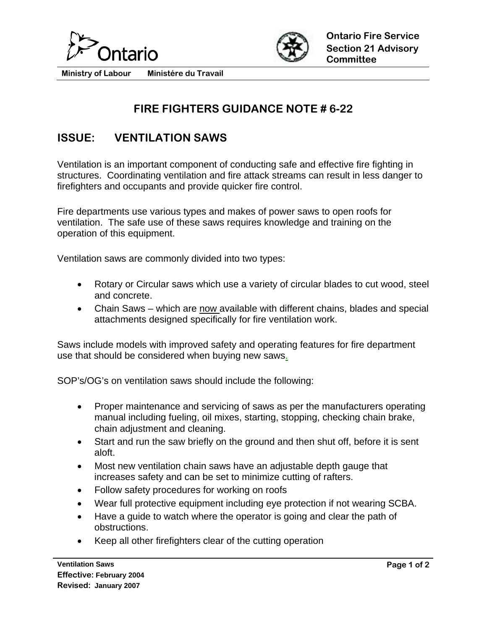



**Ministry of Labour Ministére du Travail** 

## **FIRE FIGHTERS GUIDANCE NOTE # 6-22**

## **ISSUE: VENTILATION SAWS**

Ventilation is an important component of conducting safe and effective fire fighting in structures. Coordinating ventilation and fire attack streams can result in less danger to firefighters and occupants and provide quicker fire control.

Fire departments use various types and makes of power saws to open roofs for ventilation. The safe use of these saws requires knowledge and training on the operation of this equipment.

Ventilation saws are commonly divided into two types:

- Rotary or Circular saws which use a variety of circular blades to cut wood, steel and concrete.
- Chain Saws which are now available with different chains, blades and special attachments designed specifically for fire ventilation work.

Saws include models with improved safety and operating features for fire department use that should be considered when buying new saws.

SOP's/OG's on ventilation saws should include the following:

- Proper maintenance and servicing of saws as per the manufacturers operating manual including fueling, oil mixes, starting, stopping, checking chain brake, chain adjustment and cleaning.
- Start and run the saw briefly on the ground and then shut off, before it is sent aloft.
- Most new ventilation chain saws have an adjustable depth gauge that increases safety and can be set to minimize cutting of rafters.
- Follow safety procedures for working on roofs
- Wear full protective equipment including eye protection if not wearing SCBA.
- Have a guide to watch where the operator is going and clear the path of obstructions.
- Keep all other firefighters clear of the cutting operation